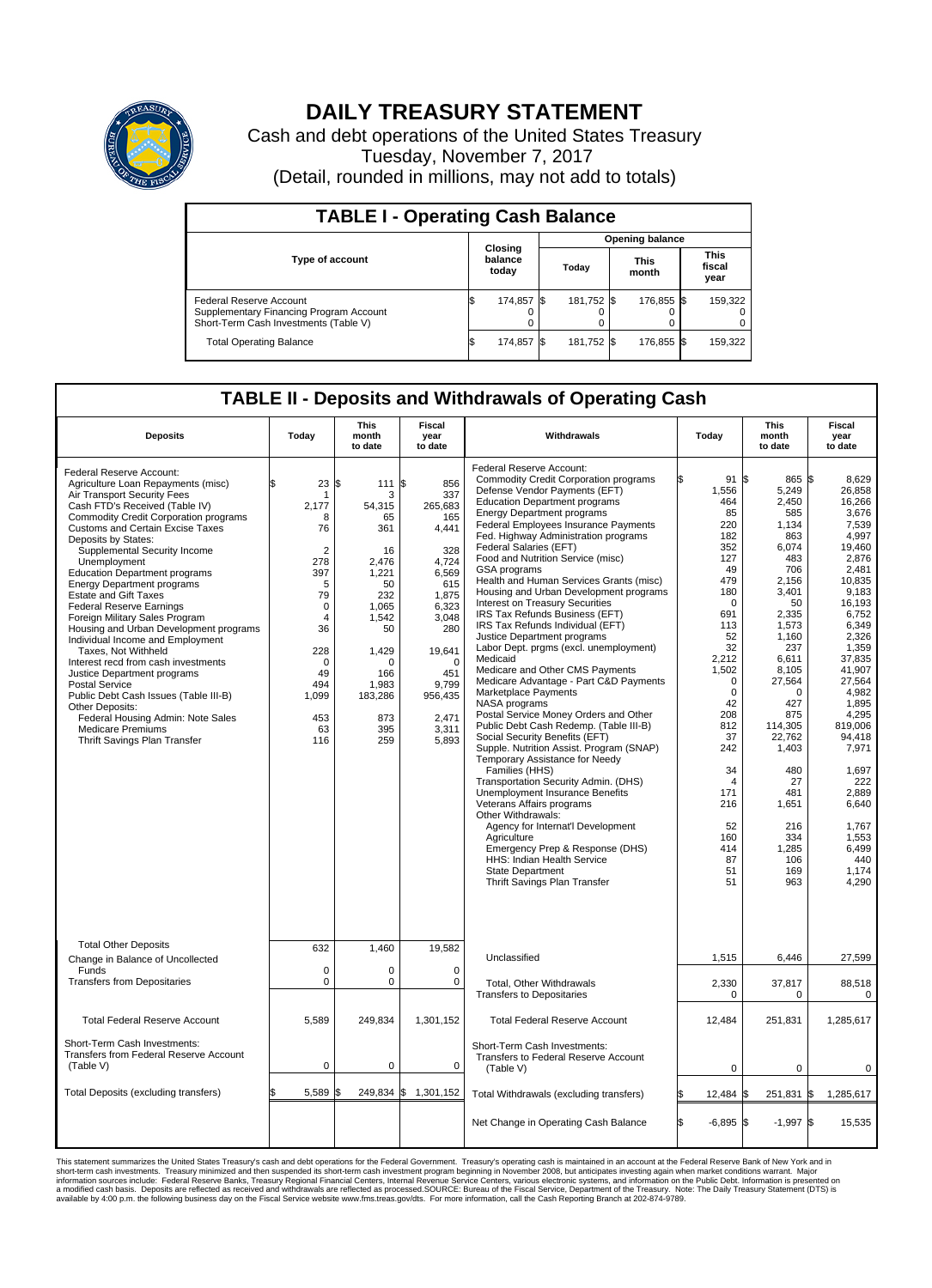

## **DAILY TREASURY STATEMENT**

Cash and debt operations of the United States Treasury Tuesday, November 7, 2017 (Detail, rounded in millions, may not add to totals)

| <b>TABLE I - Operating Cash Balance</b>                                                                     |    |                             |  |                        |  |                      |  |                               |  |  |  |
|-------------------------------------------------------------------------------------------------------------|----|-----------------------------|--|------------------------|--|----------------------|--|-------------------------------|--|--|--|
|                                                                                                             |    |                             |  | <b>Opening balance</b> |  |                      |  |                               |  |  |  |
| <b>Type of account</b>                                                                                      |    | Closing<br>balance<br>today |  | Todav                  |  | <b>This</b><br>month |  | <b>This</b><br>fiscal<br>year |  |  |  |
| Federal Reserve Account<br>Supplementary Financing Program Account<br>Short-Term Cash Investments (Table V) |    | 174,857                     |  | 181,752 \$             |  | 176,855 \$           |  | 159,322                       |  |  |  |
| <b>Total Operating Balance</b>                                                                              | ß. | 174,857                     |  | 181,752 \$             |  | 176,855 \$           |  | 159,322                       |  |  |  |

## **TABLE II - Deposits and Withdrawals of Operating Cash**

| <b>Deposits</b>                                                                                                                                                                                                                                                                                                                                                                                                                                                                                                                                                                                                                                                                                                                                                                                                                 | Today                                                                                                                                                               | This<br>month<br>to date                                                                                                                                         | <b>Fiscal</b><br>year<br>to date                                                                                                                                                           | Withdrawals                                                                                                                                                                                                                                                                                                                                                                                                                                                                                                                                                                                                                                                                                                                                                                                                                                                                                                                                                                                                                                                                                                                                                                                                                                                                                              | Today                                                                                                                                                                                                                                                                           | <b>This</b><br>month<br>to date                                                                                                                                                                                                                                                                            | Fiscal<br>year<br>to date                                                                                                                                                                                                                                                                                                      |
|---------------------------------------------------------------------------------------------------------------------------------------------------------------------------------------------------------------------------------------------------------------------------------------------------------------------------------------------------------------------------------------------------------------------------------------------------------------------------------------------------------------------------------------------------------------------------------------------------------------------------------------------------------------------------------------------------------------------------------------------------------------------------------------------------------------------------------|---------------------------------------------------------------------------------------------------------------------------------------------------------------------|------------------------------------------------------------------------------------------------------------------------------------------------------------------|--------------------------------------------------------------------------------------------------------------------------------------------------------------------------------------------|----------------------------------------------------------------------------------------------------------------------------------------------------------------------------------------------------------------------------------------------------------------------------------------------------------------------------------------------------------------------------------------------------------------------------------------------------------------------------------------------------------------------------------------------------------------------------------------------------------------------------------------------------------------------------------------------------------------------------------------------------------------------------------------------------------------------------------------------------------------------------------------------------------------------------------------------------------------------------------------------------------------------------------------------------------------------------------------------------------------------------------------------------------------------------------------------------------------------------------------------------------------------------------------------------------|---------------------------------------------------------------------------------------------------------------------------------------------------------------------------------------------------------------------------------------------------------------------------------|------------------------------------------------------------------------------------------------------------------------------------------------------------------------------------------------------------------------------------------------------------------------------------------------------------|--------------------------------------------------------------------------------------------------------------------------------------------------------------------------------------------------------------------------------------------------------------------------------------------------------------------------------|
| Federal Reserve Account:<br>Agriculture Loan Repayments (misc)<br>Air Transport Security Fees<br>Cash FTD's Received (Table IV)<br>Commodity Credit Corporation programs<br>Customs and Certain Excise Taxes<br>Deposits by States:<br>Supplemental Security Income<br>Unemployment<br><b>Education Department programs</b><br><b>Energy Department programs</b><br><b>Estate and Gift Taxes</b><br><b>Federal Reserve Earnings</b><br>Foreign Military Sales Program<br>Housing and Urban Development programs<br>Individual Income and Employment<br>Taxes. Not Withheld<br>Interest recd from cash investments<br>Justice Department programs<br>Postal Service<br>Public Debt Cash Issues (Table III-B)<br>Other Deposits:<br>Federal Housing Admin: Note Sales<br><b>Medicare Premiums</b><br>Thrift Savings Plan Transfer | 23<br>\$<br>1<br>2,177<br>8<br>76<br>$\overline{2}$<br>278<br>397<br>5<br>79<br>$\mathbf 0$<br>4<br>36<br>228<br>$\Omega$<br>49<br>494<br>1,099<br>453<br>63<br>116 | \$<br>111<br>3<br>54,315<br>65<br>361<br>16<br>2,476<br>1,221<br>50<br>232<br>1.065<br>1,542<br>50<br>1,429<br>U<br>166<br>1,983<br>183,286<br>873<br>395<br>259 | l\$<br>856<br>337<br>265,683<br>165<br>4,441<br>328<br>4,724<br>6.569<br>615<br>1,875<br>6,323<br>3,048<br>280<br>19,641<br>$\Omega$<br>451<br>9,799<br>956,435<br>2,471<br>3,311<br>5,893 | Federal Reserve Account:<br><b>Commodity Credit Corporation programs</b><br>Defense Vendor Payments (EFT)<br><b>Education Department programs</b><br><b>Energy Department programs</b><br>Federal Employees Insurance Payments<br>Fed. Highway Administration programs<br>Federal Salaries (EFT)<br>Food and Nutrition Service (misc)<br>GSA programs<br>Health and Human Services Grants (misc)<br>Housing and Urban Development programs<br>Interest on Treasury Securities<br>IRS Tax Refunds Business (EFT)<br>IRS Tax Refunds Individual (EFT)<br>Justice Department programs<br>Labor Dept. prgms (excl. unemployment)<br>Medicaid<br>Medicare and Other CMS Payments<br>Medicare Advantage - Part C&D Payments<br>Marketplace Payments<br>NASA programs<br>Postal Service Money Orders and Other<br>Public Debt Cash Redemp. (Table III-B)<br>Social Security Benefits (EFT)<br>Supple. Nutrition Assist. Program (SNAP)<br>Temporary Assistance for Needy<br>Families (HHS)<br>Transportation Security Admin. (DHS)<br>Unemployment Insurance Benefits<br>Veterans Affairs programs<br>Other Withdrawals:<br>Agency for Internat'l Development<br>Agriculture<br>Emergency Prep & Response (DHS)<br><b>HHS: Indian Health Service</b><br><b>State Department</b><br>Thrift Savings Plan Transfer | 91S<br>1,556<br>464<br>85<br>220<br>182<br>352<br>127<br>49<br>479<br>180<br>$\mathbf 0$<br>691<br>113<br>52<br>32<br>2,212<br>1,502<br>$\mathbf 0$<br>$\mathbf 0$<br>42<br>208<br>812<br>37<br>242<br>34<br>$\overline{4}$<br>171<br>216<br>52<br>160<br>414<br>87<br>51<br>51 | $865$ $\frac{1}{3}$<br>5,249<br>2.450<br>585<br>1,134<br>863<br>6,074<br>483<br>706<br>2.156<br>3,401<br>50<br>2,335<br>1,573<br>1,160<br>237<br>6,611<br>8,105<br>27,564<br>$\Omega$<br>427<br>875<br>114,305<br>22,762<br>1,403<br>480<br>27<br>481<br>1,651<br>216<br>334<br>1,285<br>106<br>169<br>963 | 8.629<br>26,858<br>16.266<br>3,676<br>7,539<br>4,997<br>19,460<br>2,876<br>2.481<br>10.835<br>9,183<br>16,193<br>6,752<br>6,349<br>2,326<br>1,359<br>37.835<br>41.907<br>27,564<br>4,982<br>1.895<br>4,295<br>819,006<br>94,418<br>7,971<br>1,697<br>222<br>2.889<br>6,640<br>1,767<br>1.553<br>6,499<br>440<br>1,174<br>4,290 |
| <b>Total Other Deposits</b><br>Change in Balance of Uncollected                                                                                                                                                                                                                                                                                                                                                                                                                                                                                                                                                                                                                                                                                                                                                                 | 632                                                                                                                                                                 | 1,460                                                                                                                                                            | 19,582                                                                                                                                                                                     | Unclassified                                                                                                                                                                                                                                                                                                                                                                                                                                                                                                                                                                                                                                                                                                                                                                                                                                                                                                                                                                                                                                                                                                                                                                                                                                                                                             | 1,515                                                                                                                                                                                                                                                                           | 6,446                                                                                                                                                                                                                                                                                                      | 27,599                                                                                                                                                                                                                                                                                                                         |
| Funds<br><b>Transfers from Depositaries</b>                                                                                                                                                                                                                                                                                                                                                                                                                                                                                                                                                                                                                                                                                                                                                                                     | $\mathbf 0$<br>$\mathbf 0$                                                                                                                                          | $\Omega$<br>0                                                                                                                                                    | $\Omega$<br>0                                                                                                                                                                              | Total, Other Withdrawals<br><b>Transfers to Depositaries</b>                                                                                                                                                                                                                                                                                                                                                                                                                                                                                                                                                                                                                                                                                                                                                                                                                                                                                                                                                                                                                                                                                                                                                                                                                                             | 2,330<br>0                                                                                                                                                                                                                                                                      | 37,817<br>0                                                                                                                                                                                                                                                                                                | 88,518<br>$\mathbf 0$                                                                                                                                                                                                                                                                                                          |
| <b>Total Federal Reserve Account</b>                                                                                                                                                                                                                                                                                                                                                                                                                                                                                                                                                                                                                                                                                                                                                                                            | 5,589                                                                                                                                                               | 249,834                                                                                                                                                          | 1,301,152                                                                                                                                                                                  | <b>Total Federal Reserve Account</b>                                                                                                                                                                                                                                                                                                                                                                                                                                                                                                                                                                                                                                                                                                                                                                                                                                                                                                                                                                                                                                                                                                                                                                                                                                                                     | 12,484                                                                                                                                                                                                                                                                          | 251,831                                                                                                                                                                                                                                                                                                    | 1,285,617                                                                                                                                                                                                                                                                                                                      |
| Short-Term Cash Investments:<br>Transfers from Federal Reserve Account<br>(Table V)                                                                                                                                                                                                                                                                                                                                                                                                                                                                                                                                                                                                                                                                                                                                             | $\mathbf 0$                                                                                                                                                         | 0                                                                                                                                                                | 0                                                                                                                                                                                          | Short-Term Cash Investments:<br>Transfers to Federal Reserve Account<br>(Table V)                                                                                                                                                                                                                                                                                                                                                                                                                                                                                                                                                                                                                                                                                                                                                                                                                                                                                                                                                                                                                                                                                                                                                                                                                        | 0                                                                                                                                                                                                                                                                               | $\Omega$                                                                                                                                                                                                                                                                                                   | $\Omega$                                                                                                                                                                                                                                                                                                                       |
| Total Deposits (excluding transfers)                                                                                                                                                                                                                                                                                                                                                                                                                                                                                                                                                                                                                                                                                                                                                                                            | 5,589<br>\$                                                                                                                                                         |                                                                                                                                                                  | 249,834 \$ 1,301,152                                                                                                                                                                       | Total Withdrawals (excluding transfers)                                                                                                                                                                                                                                                                                                                                                                                                                                                                                                                                                                                                                                                                                                                                                                                                                                                                                                                                                                                                                                                                                                                                                                                                                                                                  | 12,484                                                                                                                                                                                                                                                                          | 251,831<br>l\$                                                                                                                                                                                                                                                                                             | <b>S</b><br>1,285,617                                                                                                                                                                                                                                                                                                          |
|                                                                                                                                                                                                                                                                                                                                                                                                                                                                                                                                                                                                                                                                                                                                                                                                                                 |                                                                                                                                                                     |                                                                                                                                                                  |                                                                                                                                                                                            | Net Change in Operating Cash Balance                                                                                                                                                                                                                                                                                                                                                                                                                                                                                                                                                                                                                                                                                                                                                                                                                                                                                                                                                                                                                                                                                                                                                                                                                                                                     | Ŝ.<br>$-6.895$ \$                                                                                                                                                                                                                                                               | $-1,997$ \$                                                                                                                                                                                                                                                                                                | 15.535                                                                                                                                                                                                                                                                                                                         |

This statement summarizes the United States Treasury's cash and debt operations for the Federal Government. Treasury operating in November 2008, but anticinates investing again when market conditions warrant. Major York an